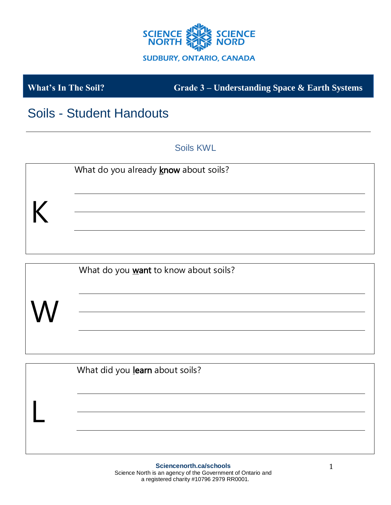

**What's In The Soil? Grade 3 – Understanding Space & Earth Systems**

# Soils - Student Handouts

Soils KWL



|   | What do you want to know about soils? |
|---|---------------------------------------|
| W |                                       |
|   |                                       |

| What did you learn about soils? |
|---------------------------------|
|                                 |
|                                 |
|                                 |
|                                 |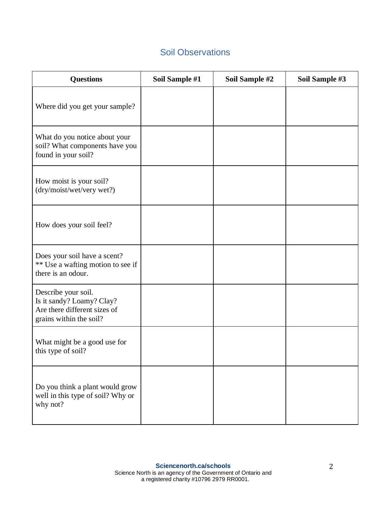### Soil Observations

| <b>Questions</b>                                                                                            | Soil Sample #1 | Soil Sample #2 | Soil Sample #3 |
|-------------------------------------------------------------------------------------------------------------|----------------|----------------|----------------|
| Where did you get your sample?                                                                              |                |                |                |
| What do you notice about your<br>soil? What components have you<br>found in your soil?                      |                |                |                |
| How moist is your soil?<br>(dry/moist/wet/very wet?)                                                        |                |                |                |
| How does your soil feel?                                                                                    |                |                |                |
| Does your soil have a scent?<br>** Use a wafting motion to see if<br>there is an odour.                     |                |                |                |
| Describe your soil.<br>Is it sandy? Loamy? Clay?<br>Are there different sizes of<br>grains within the soil? |                |                |                |
| What might be a good use for<br>this type of soil?                                                          |                |                |                |
| Do you think a plant would grow<br>well in this type of soil? Why or<br>why not?                            |                |                |                |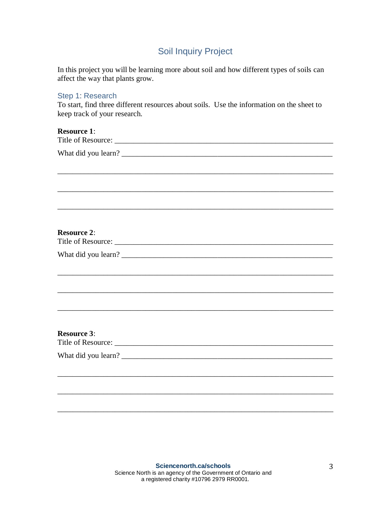### Soil Inquiry Project

In this project you will be learning more about soil and how different types of soils can affect the way that plants grow.

# Step 1: Research To start, find three different resources about soils. Use the information on the sheet to keep track of your research. **Resource 1**: Title of Resource: \_\_\_\_\_\_\_\_\_\_\_\_\_\_\_\_\_\_\_\_\_\_\_\_\_\_\_\_\_\_\_\_\_\_\_\_\_\_\_\_\_\_\_\_\_\_\_\_\_\_\_\_\_\_\_\_\_ What did you learn? \_\_\_\_\_\_\_\_\_\_\_\_\_\_\_\_\_\_\_\_\_\_\_\_\_\_\_\_\_\_\_\_\_\_\_\_\_\_\_\_\_\_\_\_\_\_\_\_\_\_\_\_\_\_\_ \_\_\_\_\_\_\_\_\_\_\_\_\_\_\_\_\_\_\_\_\_\_\_\_\_\_\_\_\_\_\_\_\_\_\_\_\_\_\_\_\_\_\_\_\_\_\_\_\_\_\_\_\_\_\_\_\_\_\_\_\_\_\_\_\_\_\_\_\_\_\_\_ \_\_\_\_\_\_\_\_\_\_\_\_\_\_\_\_\_\_\_\_\_\_\_\_\_\_\_\_\_\_\_\_\_\_\_\_\_\_\_\_\_\_\_\_\_\_\_\_\_\_\_\_\_\_\_\_\_\_\_\_\_\_\_\_\_\_\_\_\_\_\_\_ \_\_\_\_\_\_\_\_\_\_\_\_\_\_\_\_\_\_\_\_\_\_\_\_\_\_\_\_\_\_\_\_\_\_\_\_\_\_\_\_\_\_\_\_\_\_\_\_\_\_\_\_\_\_\_\_\_\_\_\_\_\_\_\_\_\_\_\_\_\_\_\_ **Resource 2**: Title of Resource: \_\_\_\_\_\_\_\_\_\_\_\_\_\_\_\_\_\_\_\_\_\_\_\_\_\_\_\_\_\_\_\_\_\_\_\_\_\_\_\_\_\_\_\_\_\_\_\_\_\_\_\_\_\_\_\_\_ What did you learn? \_\_\_\_\_\_\_\_\_\_\_\_\_\_\_\_\_\_\_\_\_\_\_\_\_\_\_\_\_\_\_\_\_\_\_\_\_\_\_\_\_\_\_\_\_\_\_\_\_\_\_\_\_\_\_ \_\_\_\_\_\_\_\_\_\_\_\_\_\_\_\_\_\_\_\_\_\_\_\_\_\_\_\_\_\_\_\_\_\_\_\_\_\_\_\_\_\_\_\_\_\_\_\_\_\_\_\_\_\_\_\_\_\_\_\_\_\_\_\_\_\_\_\_\_\_\_\_ \_\_\_\_\_\_\_\_\_\_\_\_\_\_\_\_\_\_\_\_\_\_\_\_\_\_\_\_\_\_\_\_\_\_\_\_\_\_\_\_\_\_\_\_\_\_\_\_\_\_\_\_\_\_\_\_\_\_\_\_\_\_\_\_\_\_\_\_\_\_\_\_ \_\_\_\_\_\_\_\_\_\_\_\_\_\_\_\_\_\_\_\_\_\_\_\_\_\_\_\_\_\_\_\_\_\_\_\_\_\_\_\_\_\_\_\_\_\_\_\_\_\_\_\_\_\_\_\_\_\_\_\_\_\_\_\_\_\_\_\_\_\_\_\_ **Resource 3**: Title of Resource: \_\_\_\_\_\_\_\_\_\_\_\_\_\_\_\_\_\_\_\_\_\_\_\_\_\_\_\_\_\_\_\_\_\_\_\_\_\_\_\_\_\_\_\_\_\_\_\_\_\_\_\_\_\_\_\_\_ What did you learn? \_\_\_\_\_\_\_\_\_\_\_\_\_\_\_\_\_\_\_\_\_\_\_\_\_\_\_\_\_\_\_\_\_\_\_\_\_\_\_\_\_\_\_\_\_\_\_\_\_\_\_\_\_\_\_

\_\_\_\_\_\_\_\_\_\_\_\_\_\_\_\_\_\_\_\_\_\_\_\_\_\_\_\_\_\_\_\_\_\_\_\_\_\_\_\_\_\_\_\_\_\_\_\_\_\_\_\_\_\_\_\_\_\_\_\_\_\_\_\_\_\_\_\_\_\_\_\_

\_\_\_\_\_\_\_\_\_\_\_\_\_\_\_\_\_\_\_\_\_\_\_\_\_\_\_\_\_\_\_\_\_\_\_\_\_\_\_\_\_\_\_\_\_\_\_\_\_\_\_\_\_\_\_\_\_\_\_\_\_\_\_\_\_\_\_\_\_\_\_\_

\_\_\_\_\_\_\_\_\_\_\_\_\_\_\_\_\_\_\_\_\_\_\_\_\_\_\_\_\_\_\_\_\_\_\_\_\_\_\_\_\_\_\_\_\_\_\_\_\_\_\_\_\_\_\_\_\_\_\_\_\_\_\_\_\_\_\_\_\_\_\_\_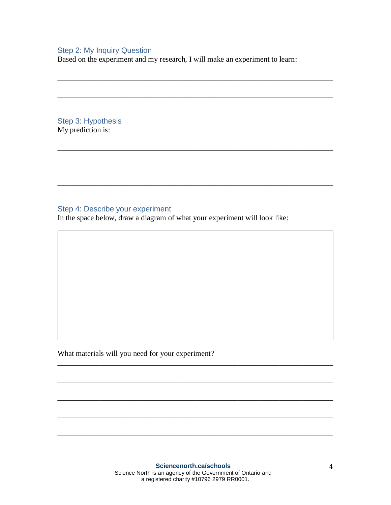#### Step 2: My Inquiry Question

Based on the experiment and my research, I will make an experiment to learn:

\_\_\_\_\_\_\_\_\_\_\_\_\_\_\_\_\_\_\_\_\_\_\_\_\_\_\_\_\_\_\_\_\_\_\_\_\_\_\_\_\_\_\_\_\_\_\_\_\_\_\_\_\_\_\_\_\_\_\_\_\_\_\_\_\_\_\_\_\_\_\_\_

\_\_\_\_\_\_\_\_\_\_\_\_\_\_\_\_\_\_\_\_\_\_\_\_\_\_\_\_\_\_\_\_\_\_\_\_\_\_\_\_\_\_\_\_\_\_\_\_\_\_\_\_\_\_\_\_\_\_\_\_\_\_\_\_\_\_\_\_\_\_\_\_

\_\_\_\_\_\_\_\_\_\_\_\_\_\_\_\_\_\_\_\_\_\_\_\_\_\_\_\_\_\_\_\_\_\_\_\_\_\_\_\_\_\_\_\_\_\_\_\_\_\_\_\_\_\_\_\_\_\_\_\_\_\_\_\_\_\_\_\_\_\_\_\_

\_\_\_\_\_\_\_\_\_\_\_\_\_\_\_\_\_\_\_\_\_\_\_\_\_\_\_\_\_\_\_\_\_\_\_\_\_\_\_\_\_\_\_\_\_\_\_\_\_\_\_\_\_\_\_\_\_\_\_\_\_\_\_\_\_\_\_\_\_\_\_\_

\_\_\_\_\_\_\_\_\_\_\_\_\_\_\_\_\_\_\_\_\_\_\_\_\_\_\_\_\_\_\_\_\_\_\_\_\_\_\_\_\_\_\_\_\_\_\_\_\_\_\_\_\_\_\_\_\_\_\_\_\_\_\_\_\_\_\_\_\_\_\_\_

Step 3: Hypothesis My prediction is:

#### Step 4: Describe your experiment

In the space below, draw a diagram of what your experiment will look like:

What materials will you need for your experiment?

\_\_\_\_\_\_\_\_\_\_\_\_\_\_\_\_\_\_\_\_\_\_\_\_\_\_\_\_\_\_\_\_\_\_\_\_\_\_\_\_\_\_\_\_\_\_\_\_\_\_\_\_\_\_\_\_\_\_\_\_\_\_\_\_\_\_\_\_\_\_\_\_

\_\_\_\_\_\_\_\_\_\_\_\_\_\_\_\_\_\_\_\_\_\_\_\_\_\_\_\_\_\_\_\_\_\_\_\_\_\_\_\_\_\_\_\_\_\_\_\_\_\_\_\_\_\_\_\_\_\_\_\_\_\_\_\_\_\_\_\_\_\_\_\_

\_\_\_\_\_\_\_\_\_\_\_\_\_\_\_\_\_\_\_\_\_\_\_\_\_\_\_\_\_\_\_\_\_\_\_\_\_\_\_\_\_\_\_\_\_\_\_\_\_\_\_\_\_\_\_\_\_\_\_\_\_\_\_\_\_\_\_\_\_\_\_\_

\_\_\_\_\_\_\_\_\_\_\_\_\_\_\_\_\_\_\_\_\_\_\_\_\_\_\_\_\_\_\_\_\_\_\_\_\_\_\_\_\_\_\_\_\_\_\_\_\_\_\_\_\_\_\_\_\_\_\_\_\_\_\_\_\_\_\_\_\_\_\_\_

\_\_\_\_\_\_\_\_\_\_\_\_\_\_\_\_\_\_\_\_\_\_\_\_\_\_\_\_\_\_\_\_\_\_\_\_\_\_\_\_\_\_\_\_\_\_\_\_\_\_\_\_\_\_\_\_\_\_\_\_\_\_\_\_\_\_\_\_\_\_\_\_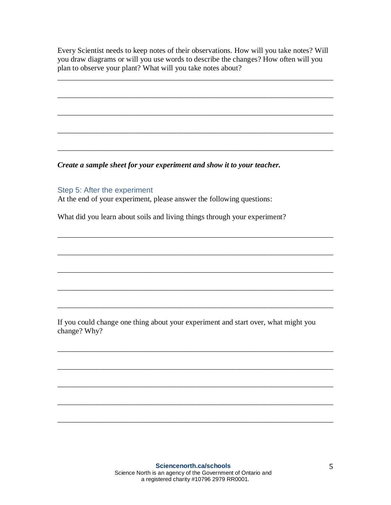Every Scientist needs to keep notes of their observations. How will you take notes? Will you draw diagrams or will you use words to describe the changes? How often will you plan to observe your plant? What will you take notes about?

\_\_\_\_\_\_\_\_\_\_\_\_\_\_\_\_\_\_\_\_\_\_\_\_\_\_\_\_\_\_\_\_\_\_\_\_\_\_\_\_\_\_\_\_\_\_\_\_\_\_\_\_\_\_\_\_\_\_\_\_\_\_\_\_\_\_\_\_\_\_\_\_

\_\_\_\_\_\_\_\_\_\_\_\_\_\_\_\_\_\_\_\_\_\_\_\_\_\_\_\_\_\_\_\_\_\_\_\_\_\_\_\_\_\_\_\_\_\_\_\_\_\_\_\_\_\_\_\_\_\_\_\_\_\_\_\_\_\_\_\_\_\_\_\_

\_\_\_\_\_\_\_\_\_\_\_\_\_\_\_\_\_\_\_\_\_\_\_\_\_\_\_\_\_\_\_\_\_\_\_\_\_\_\_\_\_\_\_\_\_\_\_\_\_\_\_\_\_\_\_\_\_\_\_\_\_\_\_\_\_\_\_\_\_\_\_\_

\_\_\_\_\_\_\_\_\_\_\_\_\_\_\_\_\_\_\_\_\_\_\_\_\_\_\_\_\_\_\_\_\_\_\_\_\_\_\_\_\_\_\_\_\_\_\_\_\_\_\_\_\_\_\_\_\_\_\_\_\_\_\_\_\_\_\_\_\_\_\_\_

\_\_\_\_\_\_\_\_\_\_\_\_\_\_\_\_\_\_\_\_\_\_\_\_\_\_\_\_\_\_\_\_\_\_\_\_\_\_\_\_\_\_\_\_\_\_\_\_\_\_\_\_\_\_\_\_\_\_\_\_\_\_\_\_\_\_\_\_\_\_\_\_

\_\_\_\_\_\_\_\_\_\_\_\_\_\_\_\_\_\_\_\_\_\_\_\_\_\_\_\_\_\_\_\_\_\_\_\_\_\_\_\_\_\_\_\_\_\_\_\_\_\_\_\_\_\_\_\_\_\_\_\_\_\_\_\_\_\_\_\_\_\_\_\_

\_\_\_\_\_\_\_\_\_\_\_\_\_\_\_\_\_\_\_\_\_\_\_\_\_\_\_\_\_\_\_\_\_\_\_\_\_\_\_\_\_\_\_\_\_\_\_\_\_\_\_\_\_\_\_\_\_\_\_\_\_\_\_\_\_\_\_\_\_\_\_\_

\_\_\_\_\_\_\_\_\_\_\_\_\_\_\_\_\_\_\_\_\_\_\_\_\_\_\_\_\_\_\_\_\_\_\_\_\_\_\_\_\_\_\_\_\_\_\_\_\_\_\_\_\_\_\_\_\_\_\_\_\_\_\_\_\_\_\_\_\_\_\_\_

\_\_\_\_\_\_\_\_\_\_\_\_\_\_\_\_\_\_\_\_\_\_\_\_\_\_\_\_\_\_\_\_\_\_\_\_\_\_\_\_\_\_\_\_\_\_\_\_\_\_\_\_\_\_\_\_\_\_\_\_\_\_\_\_\_\_\_\_\_\_\_\_

\_\_\_\_\_\_\_\_\_\_\_\_\_\_\_\_\_\_\_\_\_\_\_\_\_\_\_\_\_\_\_\_\_\_\_\_\_\_\_\_\_\_\_\_\_\_\_\_\_\_\_\_\_\_\_\_\_\_\_\_\_\_\_\_\_\_\_\_\_\_\_\_

\_\_\_\_\_\_\_\_\_\_\_\_\_\_\_\_\_\_\_\_\_\_\_\_\_\_\_\_\_\_\_\_\_\_\_\_\_\_\_\_\_\_\_\_\_\_\_\_\_\_\_\_\_\_\_\_\_\_\_\_\_\_\_\_\_\_\_\_\_\_\_\_

\_\_\_\_\_\_\_\_\_\_\_\_\_\_\_\_\_\_\_\_\_\_\_\_\_\_\_\_\_\_\_\_\_\_\_\_\_\_\_\_\_\_\_\_\_\_\_\_\_\_\_\_\_\_\_\_\_\_\_\_\_\_\_\_\_\_\_\_\_\_\_\_

\_\_\_\_\_\_\_\_\_\_\_\_\_\_\_\_\_\_\_\_\_\_\_\_\_\_\_\_\_\_\_\_\_\_\_\_\_\_\_\_\_\_\_\_\_\_\_\_\_\_\_\_\_\_\_\_\_\_\_\_\_\_\_\_\_\_\_\_\_\_\_\_

\_\_\_\_\_\_\_\_\_\_\_\_\_\_\_\_\_\_\_\_\_\_\_\_\_\_\_\_\_\_\_\_\_\_\_\_\_\_\_\_\_\_\_\_\_\_\_\_\_\_\_\_\_\_\_\_\_\_\_\_\_\_\_\_\_\_\_\_\_\_\_\_

\_\_\_\_\_\_\_\_\_\_\_\_\_\_\_\_\_\_\_\_\_\_\_\_\_\_\_\_\_\_\_\_\_\_\_\_\_\_\_\_\_\_\_\_\_\_\_\_\_\_\_\_\_\_\_\_\_\_\_\_\_\_\_\_\_\_\_\_\_\_\_\_

*Create a sample sheet for your experiment and show it to your teacher.* 

#### Step 5: After the experiment

At the end of your experiment, please answer the following questions:

What did you learn about soils and living things through your experiment?

If you could change one thing about your experiment and start over, what might you change? Why?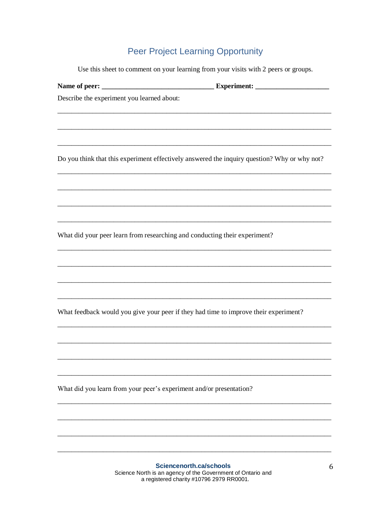## **Peer Project Learning Opportunity**

Use this sheet to comment on your learning from your visits with 2 peers or groups.

| Describe the experiment you learned about:                                                                                         |   |
|------------------------------------------------------------------------------------------------------------------------------------|---|
|                                                                                                                                    |   |
|                                                                                                                                    |   |
| Do you think that this experiment effectively answered the inquiry question? Why or why not?                                       |   |
|                                                                                                                                    |   |
| What did your peer learn from researching and conducting their experiment?                                                         |   |
|                                                                                                                                    |   |
|                                                                                                                                    |   |
| What feedback would you give your peer if they had time to improve their experiment?                                               |   |
|                                                                                                                                    |   |
| What did you learn from your peer's experiment and/or presentation?                                                                |   |
|                                                                                                                                    |   |
|                                                                                                                                    |   |
| Sciencenorth.ca/schools<br>Science North is an agency of the Government of Ontario and<br>a registered charity #10796 2979 RR0001. | 6 |